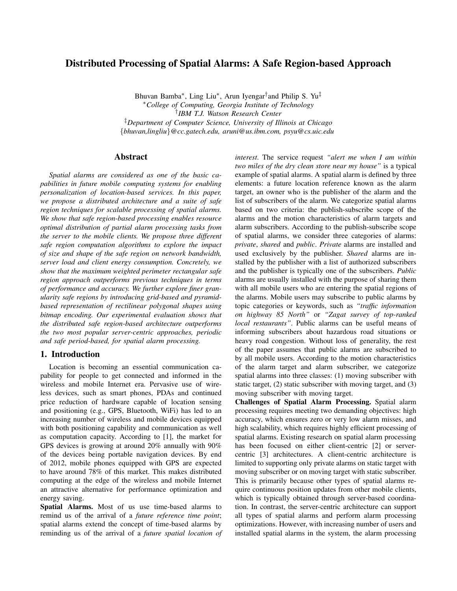# **Distributed Processing of Spatial Alarms: A Safe Region-based Approach**

Bhuvan Bamba∗, Ling Liu∗, Arun Iyengar†and Philip S. Yu‡ ∗*College of Computing, Georgia Institute of Technology* †*IBM T.J. Watson Research Center* ‡*Department of Computer Science, University of Illinois at Chicago* {*bhuvan,lingliu*}*@cc.gatech.edu, aruni@us.ibm.com, psyu@cs.uic.edu*

## **Abstract**

*Spatial alarms are considered as one of the basic capabilities in future mobile computing systems for enabling personalization of location-based services. In this paper, we propose a distributed architecture and a suite of safe region techniques for scalable processing of spatial alarms. We show that safe region-based processing enables resource optimal distribution of partial alarm processing tasks from the server to the mobile clients. We propose three different safe region computation algorithms to explore the impact of size and shape of the safe region on network bandwidth, server load and client energy consumption. Concretely, we show that the maximum weighted perimeter rectangular safe region approach outperforms previous techniques in terms of performance and accuracy. We further explore finer granularity safe regions by introducing grid-based and pyramidbased representation of rectilinear polygonal shapes using bitmap encoding. Our experimental evaluation shows that the distributed safe region-based architecture outperforms the two most popular server-centric approaches, periodic and safe period-based, for spatial alarm processing.*

## **1. Introduction**

Location is becoming an essential communication capability for people to get connected and informed in the wireless and mobile Internet era. Pervasive use of wireless devices, such as smart phones, PDAs and continued price reduction of hardware capable of location sensing and positioning (e.g., GPS, Bluetooth, WiFi) has led to an increasing number of wireless and mobile devices equipped with both positioning capability and communication as well as computation capacity. According to [1], the market for GPS devices is growing at around 20% annually with 90% of the devices being portable navigation devices. By end of 2012, mobile phones equipped with GPS are expected to have around 78% of this market. This makes distributed computing at the edge of the wireless and mobile Internet an attractive alternative for performance optimization and energy saving.

**Spatial Alarms.** Most of us use time-based alarms to remind us of the arrival of a *future reference time point*; spatial alarms extend the concept of time-based alarms by reminding us of the arrival of a *future spatial location of* *interest*. The service request *"alert me when I am within two miles of the dry clean store near my house"* is a typical example of spatial alarms. A spatial alarm is defined by three elements: a future location reference known as the alarm target, an owner who is the publisher of the alarm and the list of subscribers of the alarm. We categorize spatial alarms based on two criteria: the publish-subscribe scope of the alarms and the motion characteristics of alarm targets and alarm subscribers. According to the publish-subscribe scope of spatial alarms, we consider three categories of alarms: *private*, *shared* and *public*. *Private* alarms are installed and used exclusively by the publisher. *Shared* alarms are installed by the publisher with a list of authorized subscribers and the publisher is typically one of the subscribers. *Public* alarms are usually installed with the purpose of sharing them with all mobile users who are entering the spatial regions of the alarms. Mobile users may subscribe to public alarms by topic categories or keywords, such as *"traffic information on highway 85 North"* or *"Zagat survey of top-ranked local restaurants"*. Public alarms can be useful means of informing subscribers about hazardous road situations or heavy road congestion. Without loss of generality, the rest of the paper assumes that public alarms are subscribed to by all mobile users. According to the motion characteristics of the alarm target and alarm subscriber, we categorize spatial alarms into three classes: (1) moving subscriber with static target, (2) static subscriber with moving target, and (3) moving subscriber with moving target.

**Challenges of Spatial Alarm Processing.** Spatial alarm processing requires meeting two demanding objectives: high accuracy, which ensures zero or very low alarm misses, and high scalability, which requires highly efficient processing of spatial alarms. Existing research on spatial alarm processing has been focused on either client-centric [2] or servercentric [3] architectures. A client-centric architecture is limited to supporting only private alarms on static target with moving subscriber or on moving target with static subscriber. This is primarily because other types of spatial alarms require continuous position updates from other mobile clients, which is typically obtained through server-based coordination. In contrast, the server-centric architecture can support all types of spatial alarms and perform alarm processing optimizations. However, with increasing number of users and installed spatial alarms in the system, the alarm processing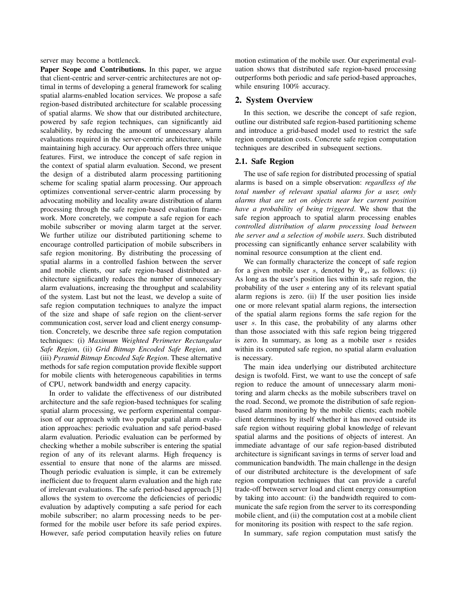server may become a bottleneck.

**Paper Scope and Contributions.** In this paper, we argue that client-centric and server-centric architectures are not optimal in terms of developing a general framework for scaling spatial alarms-enabled location services. We propose a safe region-based distributed architecture for scalable processing of spatial alarms. We show that our distributed architecture, powered by safe region techniques, can significantly aid scalability, by reducing the amount of unnecessary alarm evaluations required in the server-centric architecture, while maintaining high accuracy. Our approach offers three unique features. First, we introduce the concept of safe region in the context of spatial alarm evaluation. Second, we present the design of a distributed alarm processing partitioning scheme for scaling spatial alarm processing. Our approach optimizes conventional server-centric alarm processing by advocating mobility and locality aware distribution of alarm processing through the safe region-based evaluation framework. More concretely, we compute a safe region for each mobile subscriber or moving alarm target at the server. We further utilize our distributed partitioning scheme to encourage controlled participation of mobile subscribers in safe region monitoring. By distributing the processing of spatial alarms in a controlled fashion between the server and mobile clients, our safe region-based distributed architecture significantly reduces the number of unnecessary alarm evaluations, increasing the throughput and scalability of the system. Last but not the least, we develop a suite of safe region computation techniques to analyze the impact of the size and shape of safe region on the client-server communication cost, server load and client energy consumption. Concretely, we describe three safe region computation techniques: (i) *Maximum Weighted Perimeter Rectangular Safe Region*, (ii) *Grid Bitmap Encoded Safe Region*, and (iii) *Pyramid Bitmap Encoded Safe Region*. These alternative methods for safe region computation provide flexible support for mobile clients with heterogeneous capabilities in terms of CPU, network bandwidth and energy capacity.

In order to validate the effectiveness of our distributed architecture and the safe region-based techniques for scaling spatial alarm processing, we perform experimental comparison of our approach with two popular spatial alarm evaluation approaches: periodic evaluation and safe period-based alarm evaluation. Periodic evaluation can be performed by checking whether a mobile subscriber is entering the spatial region of any of its relevant alarms. High frequency is essential to ensure that none of the alarms are missed. Though periodic evaluation is simple, it can be extremely inefficient due to frequent alarm evaluation and the high rate of irrelevant evaluations. The safe period-based approach [3] allows the system to overcome the deficiencies of periodic evaluation by adaptively computing a safe period for each mobile subscriber; no alarm processing needs to be performed for the mobile user before its safe period expires. However, safe period computation heavily relies on future motion estimation of the mobile user. Our experimental evaluation shows that distributed safe region-based processing outperforms both periodic and safe period-based approaches, while ensuring 100% accuracy.

## **2. System Overview**

In this section, we describe the concept of safe region, outline our distributed safe region-based partitioning scheme and introduce a grid-based model used to restrict the safe region computation costs. Concrete safe region computation techniques are described in subsequent sections.

#### **2.1. Safe Region**

The use of safe region for distributed processing of spatial alarms is based on a simple observation: *regardless of the total number of relevant spatial alarms for a user, only alarms that are set on objects near her current position have a probability of being triggered*. We show that the safe region approach to spatial alarm processing enables *controlled distribution of alarm processing load between the server and a selection of mobile users*. Such distributed processing can significantly enhance server scalability with nominal resource consumption at the client end.

We can formally characterize the concept of safe region for a given mobile user s, denoted by  $\Psi_s$ , as follows: (i) As long as the user's position lies within its safe region, the probability of the user s entering any of its relevant spatial alarm regions is zero. (ii) If the user position lies inside one or more relevant spatial alarm regions, the intersection of the spatial alarm regions forms the safe region for the user s. In this case, the probability of any alarms other than those associated with this safe region being triggered is zero. In summary, as long as a mobile user s resides within its computed safe region, no spatial alarm evaluation is necessary.

The main idea underlying our distributed architecture design is twofold. First, we want to use the concept of safe region to reduce the amount of unnecessary alarm monitoring and alarm checks as the mobile subscribers travel on the road. Second, we promote the distribution of safe regionbased alarm monitoring by the mobile clients; each mobile client determines by itself whether it has moved outside its safe region without requiring global knowledge of relevant spatial alarms and the positions of objects of interest. An immediate advantage of our safe region-based distributed architecture is significant savings in terms of server load and communication bandwidth. The main challenge in the design of our distributed architecture is the development of safe region computation techniques that can provide a careful trade-off between server load and client energy consumption by taking into account: (i) the bandwidth required to communicate the safe region from the server to its corresponding mobile client, and (ii) the computation cost at a mobile client for monitoring its position with respect to the safe region.

In summary, safe region computation must satisfy the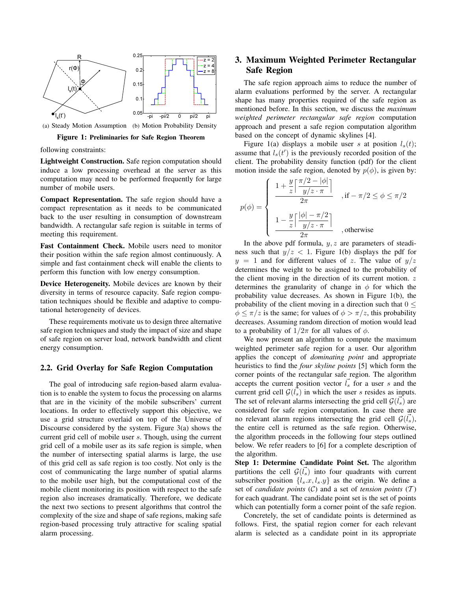

**Figure 1: Preliminaries for Safe Region Theorem**

following constraints:

**Lightweight Construction.** Safe region computation should induce a low processing overhead at the server as this computation may need to be performed frequently for large number of mobile users.

**Compact Representation.** The safe region should have a compact representation as it needs to be communicated back to the user resulting in consumption of downstream bandwidth. A rectangular safe region is suitable in terms of meeting this requirement.

**Fast Containment Check.** Mobile users need to monitor their position within the safe region almost continuously. A simple and fast containment check will enable the clients to perform this function with low energy consumption.

**Device Heterogeneity.** Mobile devices are known by their diversity in terms of resource capacity. Safe region computation techniques should be flexible and adaptive to computational heterogeneity of devices.

These requirements motivate us to design three alternative safe region techniques and study the impact of size and shape of safe region on server load, network bandwidth and client energy consumption.

#### **2.2. Grid Overlay for Safe Region Computation**

The goal of introducing safe region-based alarm evaluation is to enable the system to focus the processing on alarms that are in the vicinity of the mobile subscribers' current locations. In order to effectively support this objective, we use a grid structure overlaid on top of the Universe of Discourse considered by the system. Figure 3(a) shows the current grid cell of mobile user s. Though, using the current grid cell of a mobile user as its safe region is simple, when the number of intersecting spatial alarms is large, the use of this grid cell as safe region is too costly. Not only is the cost of communicating the large number of spatial alarms to the mobile user high, but the computational cost of the mobile client monitoring its position with respect to the safe region also increases dramatically. Therefore, we dedicate the next two sections to present algorithms that control the complexity of the size and shape of safe regions, making safe region-based processing truly attractive for scaling spatial alarm processing.

## **3. Maximum Weighted Perimeter Rectangular Safe Region**

The safe region approach aims to reduce the number of alarm evaluations performed by the server. A rectangular shape has many properties required of the safe region as mentioned before. In this section, we discuss the *maximum weighted perimeter rectangular safe region* computation approach and present a safe region computation algorithm based on the concept of dynamic skylines [4].

Figure 1(a) displays a mobile user s at position  $l_s(t)$ ; assume that  $l_s(t')$  is the previously recorded position of the client. The probability density function (pdf) for the client motion inside the safe region, denoted by  $p(\phi)$ , is given by:

$$
p(\phi) = \begin{cases} \frac{1 + \frac{y}{z} \left\lceil \frac{\pi/2 - |\phi|}{y/z \cdot \pi} \right\rceil}{2\pi} & , \text{if } -\pi/2 \le \phi \le \pi/2\\ \frac{1 - \frac{y}{z} \left\lceil \frac{|\phi| - \pi/2}{y/z \cdot \pi} \right\rceil}{2\pi} & , \text{otherwise} \end{cases}
$$

In the above pdf formula,  $y, z$  are parameters of steadiness such that  $y/z < 1$ . Figure 1(b) displays the pdf for  $y = 1$  and for different values of z. The value of  $y/z$ determines the weight to be assigned to the probability of the client moving in the direction of its current motion.  $z$ determines the granularity of change in  $\phi$  for which the probability value decreases. As shown in Figure 1(b), the probability of the client moving in a direction such that  $0 \leq$  $\phi \leq \pi/z$  is the same; for values of  $\phi > \pi/z$ , this probability decreases. Assuming random direction of motion would lead to a probability of  $1/2\pi$  for all values of  $\phi$ .

We now present an algorithm to compute the maximum weighted perimeter safe region for a user. Our algorithm applies the concept of *dominating point* and appropriate heuristics to find the *four skyline points* [5] which form the corner points of the rectangular safe region. The algorithm accepts the current position vector  $\vec{l}_s$  for a user s and the current grid cell  $\mathcal{G}(l_s)$  in which the user s resides as inputs. The set of relevant alarms intersecting the grid cell  $\mathcal{G}(\vec{l_s})$  are considered for safe region computation. In case there are no relevant alarm regions intersecting the grid cell  $\mathcal{G}(l_s)$ , the entire cell is returned as the safe region. Otherwise, the algorithm proceeds in the following four steps outlined below. We refer readers to [6] for a complete description of the algorithm.

**Step 1: Determine Candidate Point Set.** The algorithm partitions the cell  $\mathcal{G}(\vec{l_s})$  into four quadrants with current subscriber position  $\{l_s.x, l_s.y\}$  as the origin. We define a set of *candidate points*  $(C)$  and a set of *tension points*  $(T)$ for each quadrant. The candidate point set is the set of points which can potentially form a corner point of the safe region.

Concretely, the set of candidate points is determined as follows. First, the spatial region corner for each relevant alarm is selected as a candidate point in its appropriate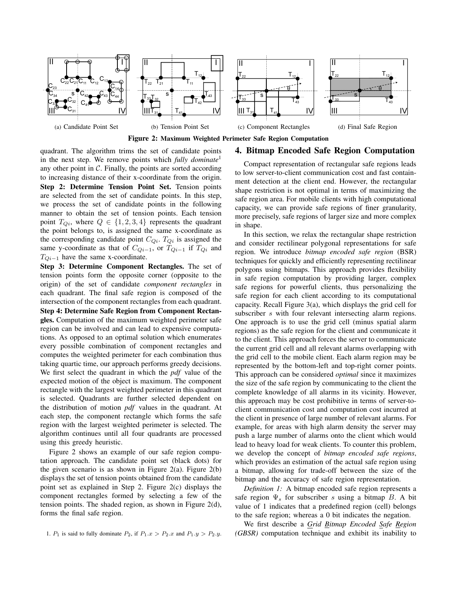

**Figure 2: Maximum Weighted Perimeter Safe Region Computation**

## **4. Bitmap Encoded Safe Region Computation**

quadrant. The algorithm trims the set of candidate points in the next step. We remove points which *fully dominate*<sup>1</sup> any other point in  $C$ . Finally, the points are sorted according to increasing distance of their x-coordinate from the origin. **Step 2: Determine Tension Point Set.** Tension points are selected from the set of candidate points. In this step, we process the set of candidate points in the following manner to obtain the set of tension points. Each tension point  $T_{Qi}$ , where  $Q \in \{1, 2, 3, 4\}$  represents the quadrant the point belongs to, is assigned the same x-coordinate as the corresponding candidate point  $C_{Qi}$ .  $T_{Qi}$  is assigned the same y-coordinate as that of C*Qi*−<sup>1</sup>, or T*Qi*−<sup>1</sup> if T*Qi* and T*Qi*−<sup>1</sup> have the same x-coordinate.

**Step 3: Determine Component Rectangles.** The set of tension points form the opposite corner (opposite to the origin) of the set of candidate *component rectangles* in each quadrant. The final safe region is composed of the intersection of the component rectangles from each quadrant. **Step 4: Determine Safe Region from Component Rectangles.** Computation of the maximum weighted perimeter safe region can be involved and can lead to expensive computations. As opposed to an optimal solution which enumerates every possible combination of component rectangles and computes the weighted perimeter for each combination thus taking quartic time, our approach performs greedy decisions. We first select the quadrant in which the *pdf* value of the expected motion of the object is maximum. The component rectangle with the largest weighted perimeter in this quadrant is selected. Quadrants are further selected dependent on the distribution of motion *pdf* values in the quadrant. At each step, the component rectangle which forms the safe region with the largest weighted perimeter is selected. The algorithm continues until all four quadrants are processed using this greedy heuristic.

Figure 2 shows an example of our safe region computation approach. The candidate point set (black dots) for the given scenario is as shown in Figure 2(a). Figure 2(b) displays the set of tension points obtained from the candidate point set as explained in Step 2. Figure 2(c) displays the component rectangles formed by selecting a few of the tension points. The shaded region, as shown in Figure 2(d), forms the final safe region.

1. *P*<sub>1</sub> is said to fully dominate  $P_2$ , if  $P_1.x > P_2.x$  and  $P_1.y > P_2.y$ .

Compact representation of rectangular safe regions leads to low server-to-client communication cost and fast containment detection at the client end. However, the rectangular shape restriction is not optimal in terms of maximizing the safe region area. For mobile clients with high computational capacity, we can provide safe regions of finer granularity, more precisely, safe regions of larger size and more complex in shape.

In this section, we relax the rectangular shape restriction and consider rectilinear polygonal representations for safe region. We introduce *bitmap encoded safe region* (BSR) techniques for quickly and efficiently representing rectilinear polygons using bitmaps. This approach provides flexibility in safe region computation by providing larger, complex safe regions for powerful clients, thus personalizing the safe region for each client according to its computational capacity. Recall Figure 3(a), which displays the grid cell for subscriber s with four relevant intersecting alarm regions. One approach is to use the grid cell (minus spatial alarm regions) as the safe region for the client and communicate it to the client. This approach forces the server to communicate the current grid cell and all relevant alarms overlapping with the grid cell to the mobile client. Each alarm region may be represented by the bottom-left and top-right corner points. This approach can be considered *optimal* since it maximizes the size of the safe region by communicating to the client the complete knowledge of all alarms in its vicinity. However, this approach may be cost prohibitive in terms of server-toclient communication cost and computation cost incurred at the client in presence of large number of relevant alarms. For example, for areas with high alarm density the server may push a large number of alarms onto the client which would lead to heavy load for weak clients. To counter this problem, we develop the concept of *bitmap encoded safe regions*, which provides an estimation of the actual safe region using a bitmap, allowing for trade-off between the size of the bitmap and the accuracy of safe region representation.

*Definition 1:* A bitmap encoded safe region represents a safe region  $\Psi_s$  for subscriber s using a bitmap B. A bit value of 1 indicates that a predefined region (cell) belongs to the safe region; whereas a 0 bit indicates the negation.

We first describe a *Grid Bitmap Encoded Safe Region (GBSR)* computation technique and exhibit its inability to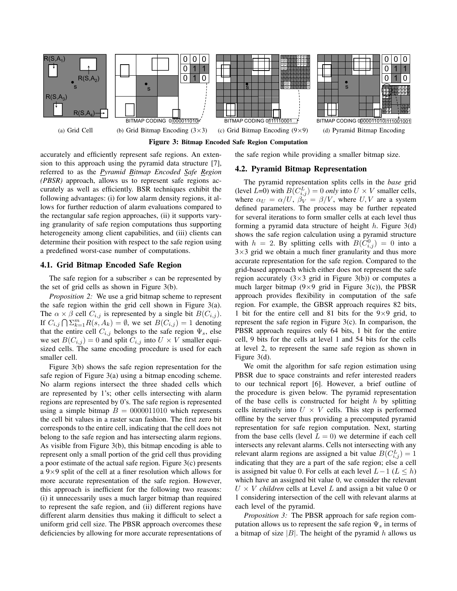

**Figure 3: Bitmap Encoded Safe Region Computation**

accurately and efficiently represent safe regions. An extension to this approach using the pyramid data structure [7], referred to as the *Pyramid Bitmap Encoded Safe Region (PBSR)* approach, allows us to represent safe regions accurately as well as efficiently. BSR techniques exhibit the following advantages: (i) for low alarm density regions, it allows for further reduction of alarm evaluations compared to the rectangular safe region approaches, (ii) it supports varying granularity of safe region computations thus supporting heterogeneity among client capabilities, and (iii) clients can determine their position with respect to the safe region using a predefined worst-case number of computations.

### **4.1. Grid Bitmap Encoded Safe Region**

The safe region for a subscriber  $s$  can be represented by the set of grid cells as shown in Figure 3(b).

*Proposition 2:* We use a grid bitmap scheme to represent the safe region within the grid cell shown in Figure 3(a). The  $\alpha \times \beta$  cell  $C_{i,j}$  is represented by a single bit  $B(C_{i,j})$ . If  $C_{i,j} \bigcap \sum_{k=1}^{m} R(s, A_k) = \emptyset$ , we set  $B(C_{i,j}) = 1$  denoting that the entire cell  $C_{i,j}$  belongs to the safe region  $\Psi_s$ , else we set  $B(C_{i,j})=0$  and split  $C_{i,j}$  into  $U \times V$  smaller equisized cells. The same encoding procedure is used for each smaller cell.

Figure 3(b) shows the safe region representation for the safe region of Figure 3(a) using a bitmap encoding scheme. No alarm regions intersect the three shaded cells which are represented by 1's; other cells intersecting with alarm regions are represented by 0's. The safe region is represented using a simple bitmap  $B = 0000011010$  which represents the cell bit values in a raster scan fashion. The first zero bit corresponds to the entire cell, indicating that the cell does not belong to the safe region and has intersecting alarm regions. As visible from Figure 3(b), this bitmap encoding is able to represent only a small portion of the grid cell thus providing a poor estimate of the actual safe region. Figure 3(c) presents a 9×9 split of the cell at a finer resolution which allows for more accurate representation of the safe region. However, this approach is inefficient for the following two reasons: (i) it unnecessarily uses a much larger bitmap than required to represent the safe region, and (ii) different regions have different alarm densities thus making it difficult to select a uniform grid cell size. The PBSR approach overcomes these deficiencies by allowing for more accurate representations of the safe region while providing a smaller bitmap size.

#### **4.2. Pyramid Bitmap Representation**

The pyramid representation splits cells in the *base* grid (level  $L=0$ ) with  $B(C_{i,j}^L) = 0$  *only* into  $U \times V$  smaller cells, where  $\alpha_U = \alpha/U$ ,  $\beta_V = \beta/V$ , where U, V are a system defined parameters. The process may be further repeated for several iterations to form smaller cells at each level thus forming a pyramid data structure of height  $h$ . Figure 3(d) shows the safe region calculation using a pyramid structure with  $h = 2$ . By splitting cells with  $B(C_{i,j}^0) = 0$  into a  $3\times3$  grid we obtain a much finer granularity and thus more accurate representation for the safe region. Compared to the grid-based approach which either does not represent the safe region accurately  $(3\times3$  grid in Figure 3(b)) or computes a much larger bitmap  $(9 \times 9)$  grid in Figure 3(c)), the PBSR approach provides flexibility in computation of the safe region. For example, the GBSR approach requires 82 bits, 1 bit for the entire cell and 81 bits for the  $9\times9$  grid, to represent the safe region in Figure 3(c). In comparison, the PBSR approach requires only 64 bits, 1 bit for the entire cell, 9 bits for the cells at level 1 and 54 bits for the cells at level 2, to represent the same safe region as shown in Figure 3(d).

We omit the algorithm for safe region estimation using PBSR due to space constraints and refer interested readers to our technical report [6]. However, a brief outline of the procedure is given below. The pyramid representation of the base cells is constructed for height  $h$  by splitting cells iteratively into  $U \times V$  cells. This step is performed offline by the server thus providing a precomputed pyramid representation for safe region computation. Next, starting from the base cells (level  $L = 0$ ) we determine if each cell intersects any relevant alarms. Cells not intersecting with any relevant alarm regions are assigned a bit value  $B(C_{i,j}^L) = 1$ indicating that they are a part of the safe region; else a cell is assigned bit value 0. For cells at each level  $L-1$  ( $L \leq h$ ) which have an assigned bit value 0, we consider the relevant  $U \times V$  *children* cells at Level L and assign a bit value 0 or 1 considering intersection of the cell with relevant alarms at each level of the pyramid.

*Proposition 3:* The PBSR approach for safe region computation allows us to represent the safe region Ψ*<sup>s</sup>* in terms of a bitmap of size  $|B|$ . The height of the pyramid h allows us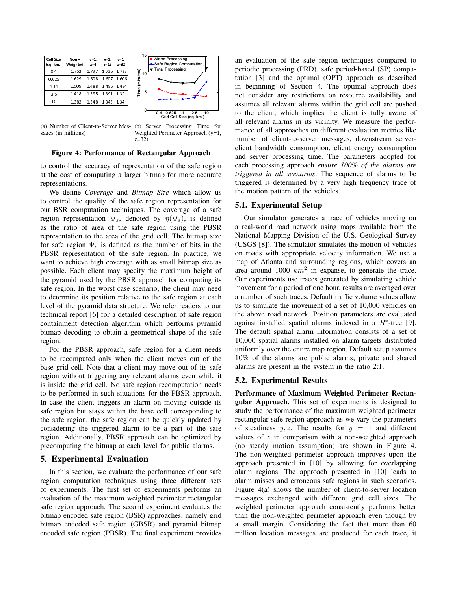



(a) Number of Client-to-Server Messages (in millions) (b) Server Processing Time for Weighted Perimeter Approach (y=1,  $z=32$ 

#### **Figure 4: Performance of Rectangular Approach**

to control the accuracy of representation of the safe region at the cost of computing a larger bitmap for more accurate representations.

We define *Coverage* and *Bitmap Size* which allow us to control the quality of the safe region representation for our BSR computation techniques. The coverage of a safe region representation  $\Psi_s$ , denoted by  $\eta(\Psi_s)$ , is defined as the ratio of area of the safe region using the PBSR representation to the area of the grid cell. The bitmap size for safe region Ψ*<sup>s</sup>* is defined as the number of bits in the PBSR representation of the safe region. In practice, we want to achieve high coverage with as small bitmap size as possible. Each client may specify the maximum height of the pyramid used by the PBSR approach for computing its safe region. In the worst case scenario, the client may need to determine its position relative to the safe region at each level of the pyramid data structure. We refer readers to our technical report [6] for a detailed description of safe region containment detection algorithm which performs pyramid bitmap decoding to obtain a geometrical shape of the safe region.

For the PBSR approach, safe region for a client needs to be recomputed only when the client moves out of the base grid cell. Note that a client may move out of its safe region without triggering any relevant alarms even while it is inside the grid cell. No safe region recomputation needs to be performed in such situations for the PBSR approach. In case the client triggers an alarm on moving outside its safe region but stays within the base cell corresponding to the safe region, the safe region can be quickly updated by considering the triggered alarm to be a part of the safe region. Additionally, PBSR approach can be optimized by precomputing the bitmap at each level for public alarms.

## **5. Experimental Evaluation**

In this section, we evaluate the performance of our safe region computation techniques using three different sets of experiments. The first set of experiments performs an evaluation of the maximum weighted perimeter rectangular safe region approach. The second experiment evaluates the bitmap encoded safe region (BSR) approaches, namely grid bitmap encoded safe region (GBSR) and pyramid bitmap encoded safe region (PBSR). The final experiment provides an evaluation of the safe region techniques compared to periodic processing (PRD), safe period-based (SP) computation [3] and the optimal (OPT) approach as described in beginning of Section 4. The optimal approach does not consider any restrictions on resource availability and assumes all relevant alarms within the grid cell are pushed to the client, which implies the client is fully aware of all relevant alarms in its vicinity. We measure the performance of all approaches on different evaluation metrics like number of client-to-server messages, downstream serverclient bandwidth consumption, client energy consumption and server processing time. The parameters adopted for each processing approach *ensure 100% of the alarms are triggered in all scenarios*. The sequence of alarms to be triggered is determined by a very high frequency trace of the motion pattern of the vehicles.

### **5.1. Experimental Setup**

Our simulator generates a trace of vehicles moving on a real-world road network using maps available from the National Mapping Division of the U.S. Geological Survey (USGS [8]). The simulator simulates the motion of vehicles on roads with appropriate velocity information. We use a map of Atlanta and surrounding regions, which covers an area around  $1000 \ km^2$  in expanse, to generate the trace. Our experiments use traces generated by simulating vehicle movement for a period of one hour, results are averaged over a number of such traces. Default traffic volume values allow us to simulate the movement of a set of 10,000 vehicles on the above road network. Position parameters are evaluated against installed spatial alarms indexed in a  $R^*$ -tree [9]. The default spatial alarm information consists of a set of 10,000 spatial alarms installed on alarm targets distributed uniformly over the entire map region. Default setup assumes 10% of the alarms are public alarms; private and shared alarms are present in the system in the ratio 2:1.

#### **5.2. Experimental Results**

**Performance of Maximum Weighted Perimeter Rectangular Approach.** This set of experiments is designed to study the performance of the maximum weighted perimeter rectangular safe region approach as we vary the parameters of steadiness  $y, z$ . The results for  $y = 1$  and different values of  $z$  in comparison with a non-weighted approach (no steady motion assumption) are shown in Figure 4. The non-weighted perimeter approach improves upon the approach presented in [10] by allowing for overlapping alarm regions. The approach presented in [10] leads to alarm misses and erroneous safe regions in such scenarios. Figure 4(a) shows the number of client-to-server location messages exchanged with different grid cell sizes. The weighted perimeter approach consistently performs better than the non-weighted perimeter approach even though by a small margin. Considering the fact that more than 60 million location messages are produced for each trace, it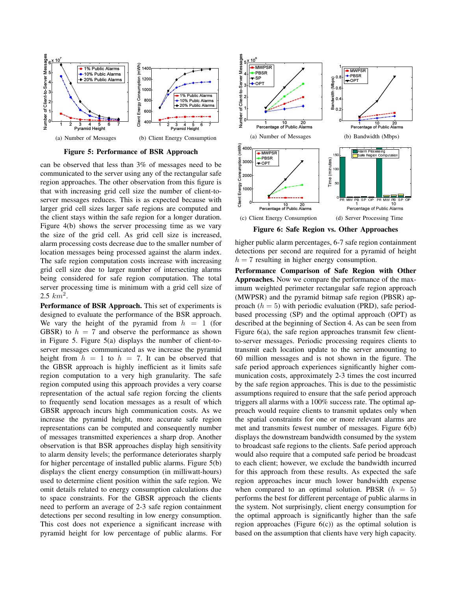

**Figure 5: Performance of BSR Approach**

can be observed that less than 3% of messages need to be communicated to the server using any of the rectangular safe region approaches. The other observation from this figure is that with increasing grid cell size the number of client-toserver messages reduces. This is as expected because with larger grid cell sizes larger safe regions are computed and the client stays within the safe region for a longer duration. Figure 4(b) shows the server processing time as we vary the size of the grid cell. As grid cell size is increased, alarm processing costs decrease due to the smaller number of location messages being processed against the alarm index. The safe region computation costs increase with increasing grid cell size due to larger number of intersecting alarms being considered for safe region computation. The total server processing time is minimum with a grid cell size of  $2.5 \ km<sup>2</sup>$ .

**Performance of BSR Approach.** This set of experiments is designed to evaluate the performance of the BSR approach. We vary the height of the pyramid from  $h = 1$  (for GBSR) to  $h = 7$  and observe the performance as shown in Figure 5. Figure 5(a) displays the number of client-toserver messages communicated as we increase the pyramid height from  $h = 1$  to  $h = 7$ . It can be observed that the GBSR approach is highly inefficient as it limits safe region computation to a very high granularity. The safe region computed using this approach provides a very coarse representation of the actual safe region forcing the clients to frequently send location messages as a result of which GBSR approach incurs high communication costs. As we increase the pyramid height, more accurate safe region representations can be computed and consequently number of messages transmitted experiences a sharp drop. Another observation is that BSR approaches display high sensitivity to alarm density levels; the performance deteriorates sharply for higher percentage of installed public alarms. Figure 5(b) displays the client energy consumption (in milliwatt-hours) used to determine client position within the safe region. We omit details related to energy consumption calculations due to space constraints. For the GBSR approach the clients need to perform an average of 2-3 safe region containment detections per second resulting in low energy consumption. This cost does not experience a significant increase with pyramid height for low percentage of public alarms. For



**Figure 6: Safe Region vs. Other Approaches**

higher public alarm percentages, 6-7 safe region containment detections per second are required for a pyramid of height  $h = 7$  resulting in higher energy consumption.

**Performance Comparison of Safe Region with Other Approaches.** Now we compare the performance of the maximum weighted perimeter rectangular safe region approach (MWPSR) and the pyramid bitmap safe region (PBSR) approach  $(h = 5)$  with periodic evaluation (PRD), safe periodbased processing (SP) and the optimal approach (OPT) as described at the beginning of Section 4. As can be seen from Figure 6(a), the safe region approaches transmit few clientto-server messages. Periodic processing requires clients to transmit each location update to the server amounting to 60 million messages and is not shown in the figure. The safe period approach experiences significantly higher communication costs, approximately 2-3 times the cost incurred by the safe region approaches. This is due to the pessimistic assumptions required to ensure that the safe period approach triggers all alarms with a 100% success rate. The optimal approach would require clients to transmit updates only when the spatial constraints for one or more relevant alarms are met and transmits fewest number of messages. Figure 6(b) displays the downstream bandwidth consumed by the system to broadcast safe regions to the clients. Safe period approach would also require that a computed safe period be broadcast to each client; however, we exclude the bandwidth incurred for this approach from these results. As expected the safe region approaches incur much lower bandwidth expense when compared to an optimal solution. PBSR  $(h = 5)$ performs the best for different percentage of public alarms in the system. Not surprisingly, client energy consumption for the optimal approach is significantly higher than the safe region approaches (Figure  $6(c)$ ) as the optimal solution is based on the assumption that clients have very high capacity.